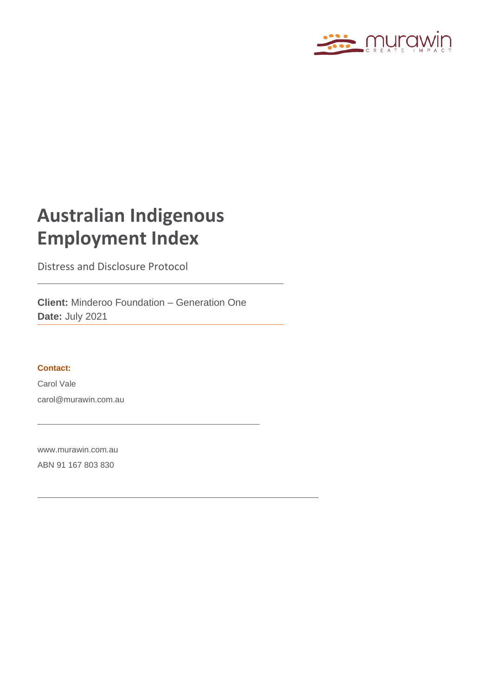

### **Australian Indigenous Employment Index**

Distress and Disclosure Protocol

**Client:** Minderoo Foundation – Generation One **Date:** July 2021

#### **Contact:**

Carol Vale carol@murawin.com.au

[www.murawin.com.au](http://www.elton.com.au/) ABN 91 167 803 830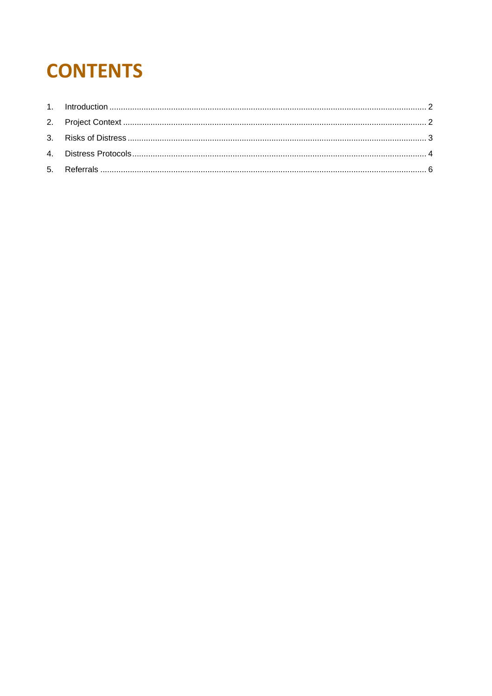# **CONTENTS**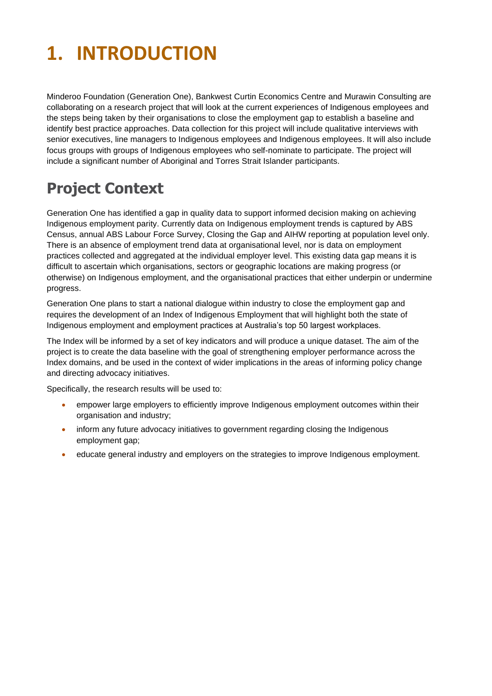### <span id="page-2-0"></span>**1. INTRODUCTION**

Minderoo Foundation (Generation One), Bankwest Curtin Economics Centre and Murawin Consulting are collaborating on a research project that will look at the current experiences of Indigenous employees and the steps being taken by their organisations to close the employment gap to establish a baseline and identify best practice approaches. Data collection for this project will include qualitative interviews with senior executives, line managers to Indigenous employees and Indigenous employees. It will also include focus groups with groups of Indigenous employees who self-nominate to participate. The project will include a significant number of Aboriginal and Torres Strait Islander participants.

### <span id="page-2-1"></span>**Project Context**

Generation One has identified a gap in quality data to support informed decision making on achieving Indigenous employment parity. Currently data on Indigenous employment trends is captured by ABS Census, annual ABS Labour Force Survey, Closing the Gap and AIHW reporting at population level only. There is an absence of employment trend data at organisational level, nor is data on employment practices collected and aggregated at the individual employer level. This existing data gap means it is difficult to ascertain which organisations, sectors or geographic locations are making progress (or otherwise) on Indigenous employment, and the organisational practices that either underpin or undermine progress.

Generation One plans to start a national dialogue within industry to close the employment gap and requires the development of an Index of Indigenous Employment that will highlight both the state of Indigenous employment and employment practices at Australia's top 50 largest workplaces.

The Index will be informed by a set of key indicators and will produce a unique dataset. The aim of the project is to create the data baseline with the goal of strengthening employer performance across the Index domains, and be used in the context of wider implications in the areas of informing policy change and directing advocacy initiatives.

Specifically, the research results will be used to:

- empower large employers to efficiently improve Indigenous employment outcomes within their organisation and industry;
- inform any future advocacy initiatives to government regarding closing the Indigenous employment gap;
- educate general industry and employers on the strategies to improve Indigenous employment.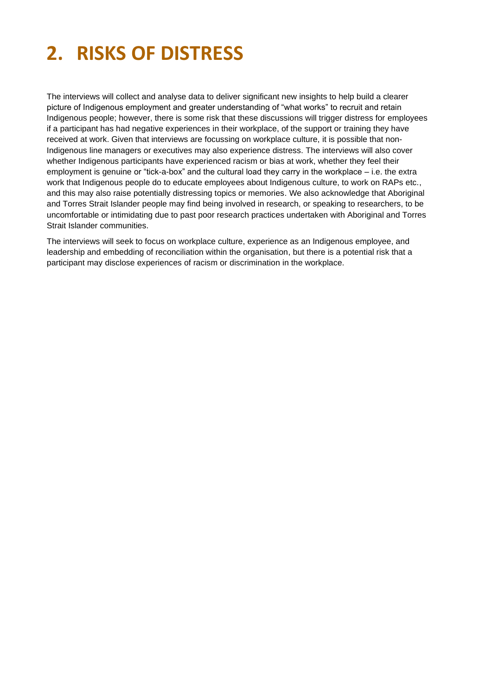# <span id="page-3-0"></span>**2. RISKS OF DISTRESS**

The interviews will collect and analyse data to deliver significant new insights to help build a clearer picture of Indigenous employment and greater understanding of "what works" to recruit and retain Indigenous people; however, there is some risk that these discussions will trigger distress for employees if a participant has had negative experiences in their workplace, of the support or training they have received at work. Given that interviews are focussing on workplace culture, it is possible that non-Indigenous line managers or executives may also experience distress. The interviews will also cover whether Indigenous participants have experienced racism or bias at work, whether they feel their employment is genuine or "tick-a-box" and the cultural load they carry in the workplace – i.e. the extra work that Indigenous people do to educate employees about Indigenous culture, to work on RAPs etc., and this may also raise potentially distressing topics or memories. We also acknowledge that Aboriginal and Torres Strait Islander people may find being involved in research, or speaking to researchers, to be uncomfortable or intimidating due to past poor research practices undertaken with Aboriginal and Torres Strait Islander communities.

The interviews will seek to focus on workplace culture, experience as an Indigenous employee, and leadership and embedding of reconciliation within the organisation, but there is a potential risk that a participant may disclose experiences of racism or discrimination in the workplace.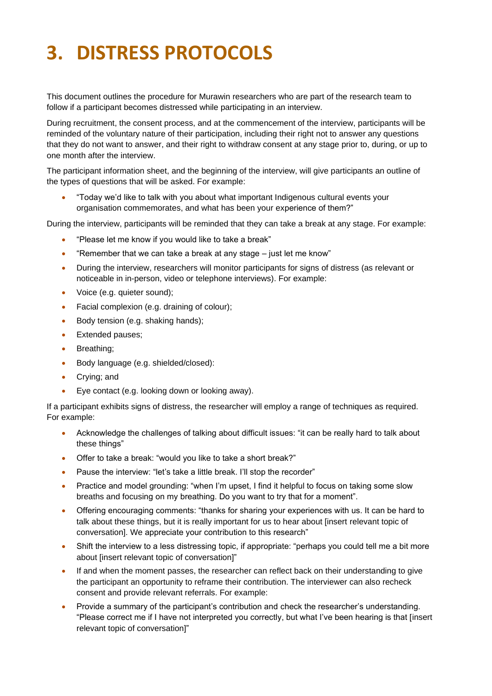# <span id="page-4-0"></span>**3. DISTRESS PROTOCOLS**

This document outlines the procedure for Murawin researchers who are part of the research team to follow if a participant becomes distressed while participating in an interview.

During recruitment, the consent process, and at the commencement of the interview, participants will be reminded of the voluntary nature of their participation, including their right not to answer any questions that they do not want to answer, and their right to withdraw consent at any stage prior to, during, or up to one month after the interview.

The participant information sheet, and the beginning of the interview, will give participants an outline of the types of questions that will be asked. For example:

• "Today we'd like to talk with you about what important Indigenous cultural events your organisation commemorates, and what has been your experience of them?"

During the interview, participants will be reminded that they can take a break at any stage. For example:

- "Please let me know if you would like to take a break"
- "Remember that we can take a break at any stage just let me know"
- During the interview, researchers will monitor participants for signs of distress (as relevant or noticeable in in-person, video or telephone interviews). For example:
- Voice (e.g. quieter sound);
- Facial complexion (e.g. draining of colour);
- Body tension (e.g. shaking hands);
- Extended pauses;
- Breathing;
- Body language (e.g. shielded/closed):
- Crying; and
- Eye contact (e.g. looking down or looking away).

If a participant exhibits signs of distress, the researcher will employ a range of techniques as required. For example:

- Acknowledge the challenges of talking about difficult issues: "it can be really hard to talk about these things"
- Offer to take a break: "would you like to take a short break?"
- Pause the interview: "let's take a little break. I'll stop the recorder"
- Practice and model grounding: "when I'm upset, I find it helpful to focus on taking some slow breaths and focusing on my breathing. Do you want to try that for a moment".
- Offering encouraging comments: "thanks for sharing your experiences with us. It can be hard to talk about these things, but it is really important for us to hear about [insert relevant topic of conversation]. We appreciate your contribution to this research"
- Shift the interview to a less distressing topic, if appropriate: "perhaps you could tell me a bit more about [insert relevant topic of conversation]"
- If and when the moment passes, the researcher can reflect back on their understanding to give the participant an opportunity to reframe their contribution. The interviewer can also recheck consent and provide relevant referrals. For example:
- Provide a summary of the participant's contribution and check the researcher's understanding. "Please correct me if I have not interpreted you correctly, but what I've been hearing is that [insert relevant topic of conversation]"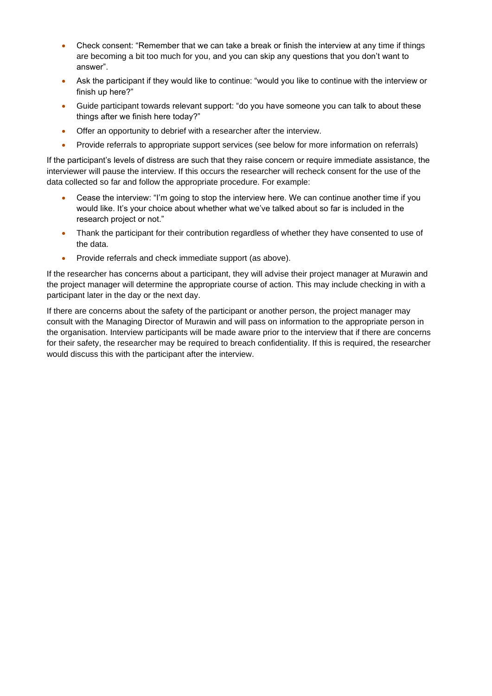- Check consent: "Remember that we can take a break or finish the interview at any time if things are becoming a bit too much for you, and you can skip any questions that you don't want to answer".
- Ask the participant if they would like to continue: "would you like to continue with the interview or finish up here?"
- Guide participant towards relevant support: "do you have someone you can talk to about these things after we finish here today?"
- Offer an opportunity to debrief with a researcher after the interview.
- Provide referrals to appropriate support services (see below for more information on referrals)

If the participant's levels of distress are such that they raise concern or require immediate assistance, the interviewer will pause the interview. If this occurs the researcher will recheck consent for the use of the data collected so far and follow the appropriate procedure. For example:

- Cease the interview: "I'm going to stop the interview here. We can continue another time if you would like. It's your choice about whether what we've talked about so far is included in the research project or not."
- Thank the participant for their contribution regardless of whether they have consented to use of the data.
- Provide referrals and check immediate support (as above).

If the researcher has concerns about a participant, they will advise their project manager at Murawin and the project manager will determine the appropriate course of action. This may include checking in with a participant later in the day or the next day.

If there are concerns about the safety of the participant or another person, the project manager may consult with the Managing Director of Murawin and will pass on information to the appropriate person in the organisation. Interview participants will be made aware prior to the interview that if there are concerns for their safety, the researcher may be required to breach confidentiality. If this is required, the researcher would discuss this with the participant after the interview.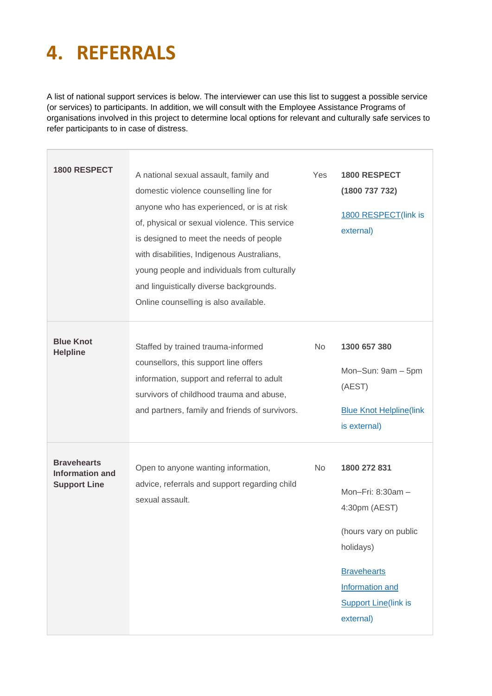### <span id="page-6-0"></span>**4. REFERRALS**

A list of national support services is below. The interviewer can use this list to suggest a possible service (or services) to participants. In addition, we will consult with the Employee Assistance Programs of organisations involved in this project to determine local options for relevant and culturally safe services to refer participants to in case of distress.

 $\overline{1}$ 

| <b>1800 RESPECT</b>                                                 | A national sexual assault, family and<br>domestic violence counselling line for<br>anyone who has experienced, or is at risk<br>of, physical or sexual violence. This service<br>is designed to meet the needs of people<br>with disabilities, Indigenous Australians,<br>young people and individuals from culturally<br>and linguistically diverse backgrounds.<br>Online counselling is also available. | Yes       | <b>1800 RESPECT</b><br>(1800 737 732)<br>1800 RESPECT(link is<br>external)                                                                                                           |
|---------------------------------------------------------------------|------------------------------------------------------------------------------------------------------------------------------------------------------------------------------------------------------------------------------------------------------------------------------------------------------------------------------------------------------------------------------------------------------------|-----------|--------------------------------------------------------------------------------------------------------------------------------------------------------------------------------------|
| <b>Blue Knot</b><br><b>Helpline</b>                                 | Staffed by trained trauma-informed<br>counsellors, this support line offers<br>information, support and referral to adult<br>survivors of childhood trauma and abuse,<br>and partners, family and friends of survivors.                                                                                                                                                                                    | <b>No</b> | 1300 657 380<br>Mon-Sun: 9am - 5pm<br>(AEST)<br><b>Blue Knot Helpline(link</b><br>is external)                                                                                       |
| <b>Bravehearts</b><br><b>Information and</b><br><b>Support Line</b> | Open to anyone wanting information,<br>advice, referrals and support regarding child<br>sexual assault.                                                                                                                                                                                                                                                                                                    | No.       | 1800 272 831<br>Mon-Fri: 8:30am -<br>4:30pm (AEST)<br>(hours vary on public<br>holidays)<br><b>Bravehearts</b><br><b>Information and</b><br><b>Support Line(link is</b><br>external) |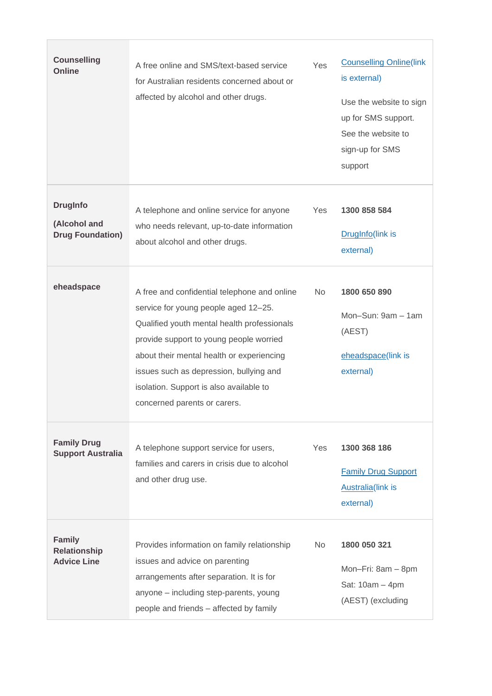| <b>Counselling</b><br>Online                               | A free online and SMS/text-based service<br>for Australian residents concerned about or<br>affected by alcohol and other drugs.                                                                                                                                                                                                                   | Yes            | <b>Counselling Online(link</b><br>is external)<br>Use the website to sign<br>up for SMS support.<br>See the website to<br>sign-up for SMS<br>support |
|------------------------------------------------------------|---------------------------------------------------------------------------------------------------------------------------------------------------------------------------------------------------------------------------------------------------------------------------------------------------------------------------------------------------|----------------|------------------------------------------------------------------------------------------------------------------------------------------------------|
| <b>DrugInfo</b><br>(Alcohol and<br><b>Drug Foundation)</b> | A telephone and online service for anyone<br>who needs relevant, up-to-date information<br>about alcohol and other drugs.                                                                                                                                                                                                                         | Yes            | 1300 858 584<br>DrugInfo(link is<br>external)                                                                                                        |
| eheadspace                                                 | A free and confidential telephone and online<br>service for young people aged 12-25.<br>Qualified youth mental health professionals<br>provide support to young people worried<br>about their mental health or experiencing<br>issues such as depression, bullying and<br>isolation. Support is also available to<br>concerned parents or carers. | N <sub>o</sub> | 1800 650 890<br>Mon-Sun: 9am - 1am<br>(AEST)<br>eheadspace(link is<br>external)                                                                      |
| <b>Family Drug</b><br><b>Support Australia</b>             | A telephone support service for users,<br>families and carers in crisis due to alcohol<br>and other drug use.                                                                                                                                                                                                                                     | Yes            | 1300 368 186<br><b>Family Drug Support</b><br><b>Australia</b> (link is<br>external)                                                                 |
| <b>Family</b><br><b>Relationship</b><br><b>Advice Line</b> | Provides information on family relationship<br>issues and advice on parenting<br>arrangements after separation. It is for<br>anyone - including step-parents, young<br>people and friends - affected by family                                                                                                                                    | N <sub>o</sub> | 1800 050 321<br>Mon-Fri: 8am - 8pm<br>Sat: 10am - 4pm<br>(AEST) (excluding                                                                           |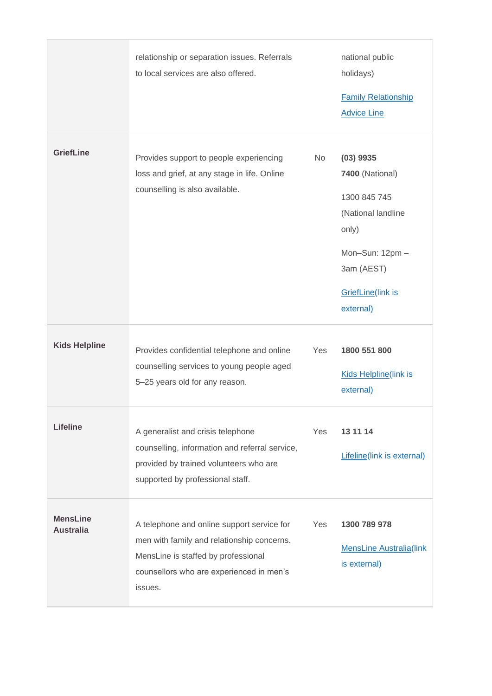|                                     | relationship or separation issues. Referrals<br>to local services are also offered.                                                                                                    |     | national public<br>holidays)<br><b>Family Relationship</b><br><b>Advice Line</b>                                                                |
|-------------------------------------|----------------------------------------------------------------------------------------------------------------------------------------------------------------------------------------|-----|-------------------------------------------------------------------------------------------------------------------------------------------------|
| <b>GriefLine</b>                    | Provides support to people experiencing<br>loss and grief, at any stage in life. Online<br>counselling is also available.                                                              | No  | $(03)$ 9935<br>7400 (National)<br>1300 845 745<br>(National landline<br>only)<br>Mon-Sun: 12pm-<br>3am (AEST)<br>GriefLine(link is<br>external) |
| <b>Kids Helpline</b>                | Provides confidential telephone and online<br>counselling services to young people aged<br>5-25 years old for any reason.                                                              | Yes | 1800 551 800<br>Kids Helpline(link is<br>external)                                                                                              |
| <b>Lifeline</b>                     | A generalist and crisis telephone<br>counselling, information and referral service,<br>provided by trained volunteers who are<br>supported by professional staff.                      | Yes | 13 11 14<br><b>Lifeline</b> (link is external)                                                                                                  |
| <b>MensLine</b><br><b>Australia</b> | A telephone and online support service for<br>men with family and relationship concerns.<br>MensLine is staffed by professional<br>counsellors who are experienced in men's<br>issues. | Yes | 1300 789 978<br><b>MensLine Australia(link</b><br>is external)                                                                                  |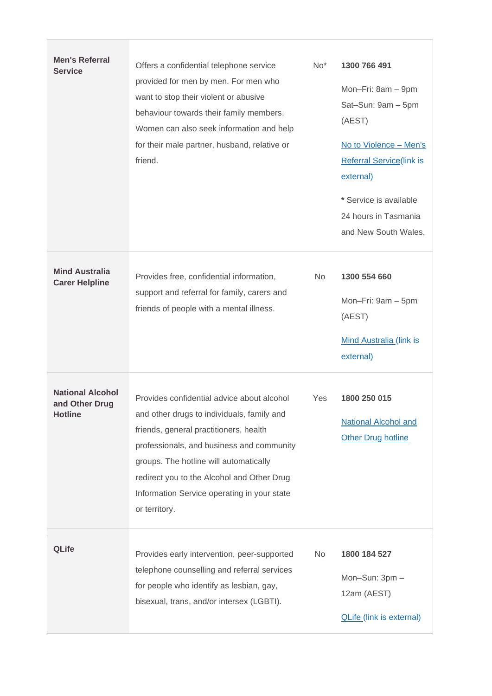| <b>Men's Referral</b><br><b>Service</b>                     | Offers a confidential telephone service<br>provided for men by men. For men who<br>want to stop their violent or abusive<br>behaviour towards their family members.<br>Women can also seek information and help<br>for their male partner, husband, relative or<br>friend.                                                              | $No*$     | 1300 766 491<br>Mon-Fri: 8am - 9pm<br>Sat-Sun: 9am - 5pm<br>(AEST)<br>No to Violence - Men's<br><b>Referral Service(link is</b><br>external)<br>* Service is available<br>24 hours in Tasmania<br>and New South Wales. |
|-------------------------------------------------------------|-----------------------------------------------------------------------------------------------------------------------------------------------------------------------------------------------------------------------------------------------------------------------------------------------------------------------------------------|-----------|------------------------------------------------------------------------------------------------------------------------------------------------------------------------------------------------------------------------|
| <b>Mind Australia</b><br><b>Carer Helpline</b>              | Provides free, confidential information,<br>support and referral for family, carers and<br>friends of people with a mental illness.                                                                                                                                                                                                     | <b>No</b> | 1300 554 660<br>Mon-Fri: 9am - 5pm<br>(AEST)<br><b>Mind Australia (link is</b><br>external)                                                                                                                            |
| <b>National Alcohol</b><br>and Other Drug<br><b>Hotline</b> | Provides confidential advice about alcohol<br>and other drugs to individuals, family and<br>friends, general practitioners, health<br>professionals, and business and community<br>groups. The hotline will automatically<br>redirect you to the Alcohol and Other Drug<br>Information Service operating in your state<br>or territory. | Yes       | 1800 250 015<br><b>National Alcohol and</b><br><b>Other Drug hotline</b>                                                                                                                                               |
| <b>QLife</b>                                                | Provides early intervention, peer-supported<br>telephone counselling and referral services<br>for people who identify as lesbian, gay,<br>bisexual, trans, and/or intersex (LGBTI).                                                                                                                                                     | No.       | 1800 184 527<br>Mon-Sun: 3pm -<br>12am (AEST)<br><b>QLife (link is external)</b>                                                                                                                                       |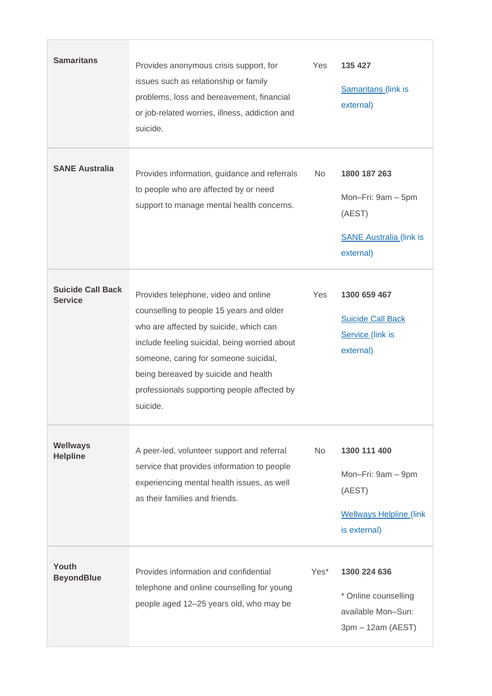| <b>Samaritans</b>                          | Provides anonymous crisis support, for<br>issues such as relationship or family<br>problems, loss and bereavement, financial<br>or job-related worries, illness, addiction and<br>suicide.                                                                                                                              | Yes       | 135 427<br><b>Samaritans (link is</b><br>external)                                             |
|--------------------------------------------|-------------------------------------------------------------------------------------------------------------------------------------------------------------------------------------------------------------------------------------------------------------------------------------------------------------------------|-----------|------------------------------------------------------------------------------------------------|
| <b>SANE Australia</b>                      | Provides information, guidance and referrals<br>to people who are affected by or need<br>support to manage mental health concerns.                                                                                                                                                                                      | No.       | 1800 187 263<br>Mon-Fri: 9am - 5pm<br>(AEST)<br><b>SANE Australia (link is</b><br>external)    |
| <b>Suicide Call Back</b><br><b>Service</b> | Provides telephone, video and online<br>counselling to people 15 years and older<br>who are affected by suicide, which can<br>include feeling suicidal, being worried about<br>someone, caring for someone suicidal,<br>being bereaved by suicide and health<br>professionals supporting people affected by<br>suicide. | Yes       | 1300 659 467<br><b>Suicide Call Back</b><br>Service (link is<br>external)                      |
| <b>Wellways</b><br><b>Helpline</b>         | A peer-led, volunteer support and referral<br>service that provides information to people<br>experiencing mental health issues, as well<br>as their families and friends.                                                                                                                                               | <b>No</b> | 1300 111 400<br>Mon-Fri: 9am - 9pm<br>(AEST)<br><b>Wellways Helpline (link</b><br>is external) |
| Youth<br><b>BeyondBlue</b>                 | Provides information and confidential<br>telephone and online counselling for young<br>people aged 12-25 years old, who may be                                                                                                                                                                                          | Yes*      | 1300 224 636<br>* Online counselling<br>available Mon-Sun:<br>3pm - 12am (AEST)                |